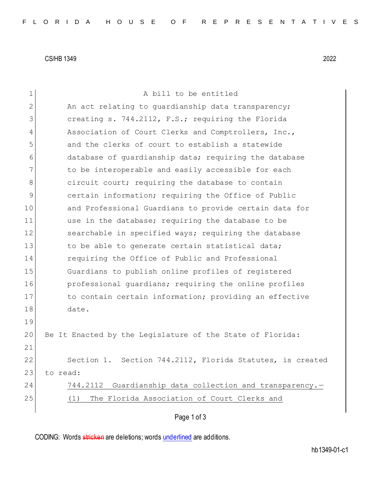CS/HB 1349 2022

| $\mathbf 1$ | A bill to be entitled                                        |
|-------------|--------------------------------------------------------------|
| 2           | An act relating to guardianship data transparency;           |
| 3           | creating s. 744.2112, F.S.; requiring the Florida            |
| 4           | Association of Court Clerks and Comptrollers, Inc.,          |
| 5           | and the clerks of court to establish a statewide             |
| 6           | database of quardianship data; requiring the database        |
| 7           | to be interoperable and easily accessible for each           |
| 8           | circuit court; requiring the database to contain             |
| 9           | certain information; requiring the Office of Public          |
| 10          | and Professional Guardians to provide certain data for       |
| 11          | use in the database; requiring the database to be            |
| 12          | searchable in specified ways; requiring the database         |
| 13          | to be able to generate certain statistical data;             |
| 14          | requiring the Office of Public and Professional              |
| 15          | Guardians to publish online profiles of registered           |
| 16          | professional quardians; requiring the online profiles        |
| 17          | to contain certain information; providing an effective       |
| 18          | date.                                                        |
| 19          |                                                              |
| 20          | Be It Enacted by the Legislature of the State of Florida:    |
| 21          |                                                              |
| 22          | Section 744.2112, Florida Statutes, is created<br>Section 1. |
| 23          | to read:                                                     |
| 24          | Guardianship data collection and transparency.-<br>744.2112  |
| 25          | The Florida Association of Court Clerks and<br>(1)           |
|             | Page 1 of 3                                                  |

CODING: Words stricken are deletions; words underlined are additions.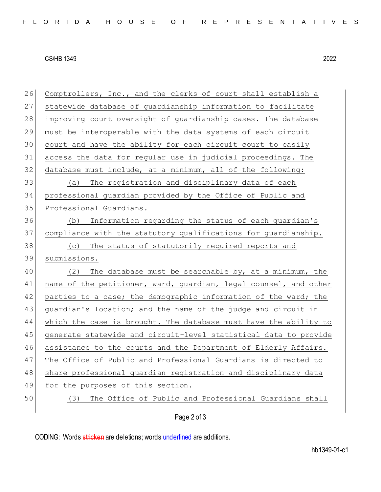## CS/HB 1349 2022

| 26 | Comptrollers, Inc., and the clerks of court shall establish a    |
|----|------------------------------------------------------------------|
| 27 | statewide database of guardianship information to facilitate     |
| 28 | improving court oversight of guardianship cases. The database    |
| 29 | must be interoperable with the data systems of each circuit      |
| 30 | court and have the ability for each circuit court to easily      |
| 31 | access the data for regular use in judicial proceedings. The     |
| 32 | database must include, at a minimum, all of the following:       |
| 33 | The registration and disciplinary data of each<br>(a)            |
| 34 | professional guardian provided by the Office of Public and       |
| 35 | Professional Guardians.                                          |
| 36 | Information regarding the status of each guardian's<br>(b)       |
| 37 | compliance with the statutory qualifications for guardianship.   |
| 38 | The status of statutorily required reports and<br>(C)            |
| 39 | submissions.                                                     |
| 40 | The database must be searchable by, at a minimum, the<br>(2)     |
| 41 | name of the petitioner, ward, guardian, legal counsel, and other |
| 42 | parties to a case; the demographic information of the ward; the  |
| 43 | guardian's location; and the name of the judge and circuit in    |
| 44 | which the case is brought. The database must have the ability to |
| 45 | generate statewide and circuit-level statistical data to provide |
| 46 | assistance to the courts and the Department of Elderly Affairs.  |
| 47 | The Office of Public and Professional Guardians is directed to   |
| 48 | share professional guardian registration and disciplinary data   |
| 49 | for the purposes of this section.                                |
| 50 | The Office of Public and Professional Guardians shall<br>(3)     |
|    | Page 2 of 3                                                      |

CODING: Words stricken are deletions; words underlined are additions.